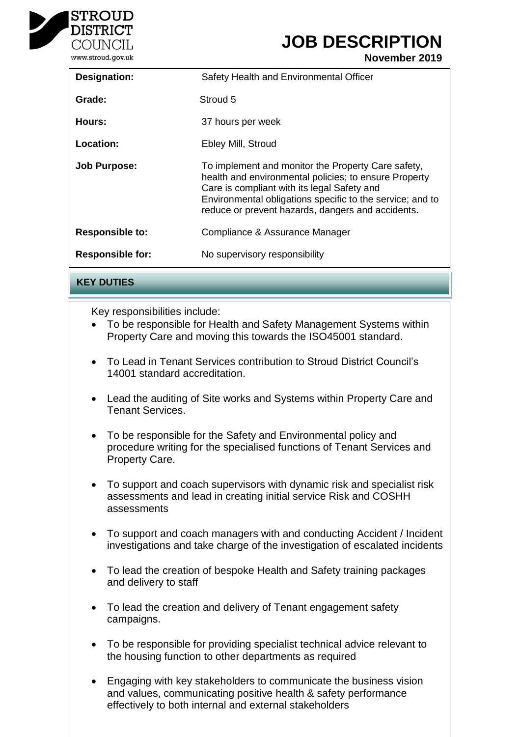

## **JOB DESCRIPTION**

**November 2019**

| <b>Designation:</b>     | Safety Health and Environmental Officer                                                                                                                                                                                                                                      |
|-------------------------|------------------------------------------------------------------------------------------------------------------------------------------------------------------------------------------------------------------------------------------------------------------------------|
| Grade:                  | Stroud 5                                                                                                                                                                                                                                                                     |
| Hours:                  | 37 hours per week                                                                                                                                                                                                                                                            |
| Location:               | Ebley Mill, Stroud                                                                                                                                                                                                                                                           |
| <b>Job Purpose:</b>     | To implement and monitor the Property Care safety,<br>health and environmental policies; to ensure Property<br>Care is compliant with its legal Safety and<br>Environmental obligations specific to the service; and to<br>reduce or prevent hazards, dangers and accidents. |
| <b>Responsible to:</b>  | Compliance & Assurance Manager                                                                                                                                                                                                                                               |
| <b>Responsible for:</b> | No supervisory responsibility                                                                                                                                                                                                                                                |

**KEY DUTIES**

Key responsibilities include:

- To be responsible for Health and Safety Management Systems within Property Care and moving this towards the ISO45001 standard.
- To Lead in Tenant Services contribution to Stroud District Council's 14001 standard accreditation.
- Lead the auditing of Site works and Systems within Property Care and Tenant Services.
- To be responsible for the Safety and Environmental policy and procedure writing for the specialised functions of Tenant Services and Property Care.
- To support and coach supervisors with dynamic risk and specialist risk assessments and lead in creating initial service Risk and COSHH assessments
- To support and coach managers with and conducting Accident / Incident investigations and take charge of the investigation of escalated incidents
- To lead the creation of bespoke Health and Safety training packages and delivery to staff
- To lead the creation and delivery of Tenant engagement safety campaigns.
- To be responsible for providing specialist technical advice relevant to the housing function to other departments as required
- Engaging with key stakeholders to communicate the business vision and values, communicating positive health & safety performance effectively to both internal and external stakeholders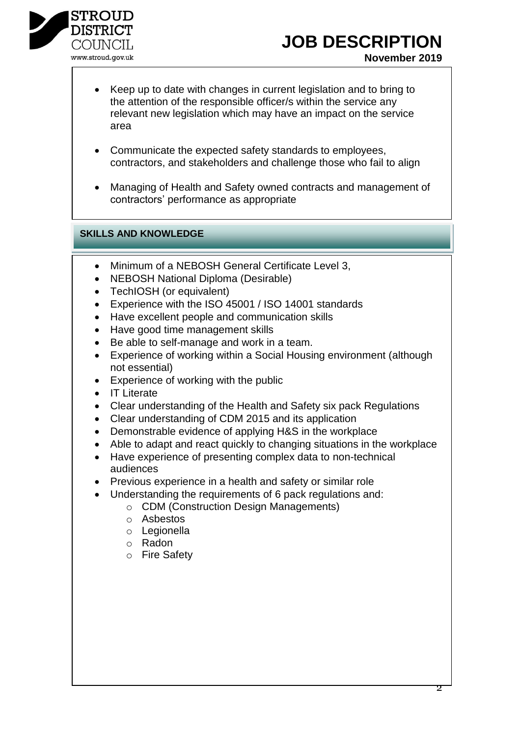

### **JOB DESCRIPTION**

- Keep up to date with changes in current legislation and to bring to the attention of the responsible officer/s within the service any relevant new legislation which may have an impact on the service area
- Communicate the expected safety standards to employees, contractors, and stakeholders and challenge those who fail to align
- Managing of Health and Safety owned contracts and management of contractors' performance as appropriate

### **SKILLS AND KNOWLEDGE**

- Minimum of a NEBOSH General Certificate Level 3,
- NEBOSH National Diploma (Desirable)
- TechIOSH (or equivalent)
- Experience with the ISO 45001 / ISO 14001 standards
- Have excellent people and communication skills
- Have good time management skills
- Be able to self-manage and work in a team.
- Experience of working within a Social Housing environment (although not essential)
- Experience of working with the public
- IT Literate
- Clear understanding of the Health and Safety six pack Regulations
- Clear understanding of CDM 2015 and its application
- Demonstrable evidence of applying H&S in the workplace
- Able to adapt and react quickly to changing situations in the workplace
- Have experience of presenting complex data to non-technical audiences
- Previous experience in a health and safety or similar role
- Understanding the requirements of 6 pack regulations and:
	- o CDM (Construction Design Managements)
	- o Asbestos
	- o Legionella
	- o Radon
	- o Fire Safety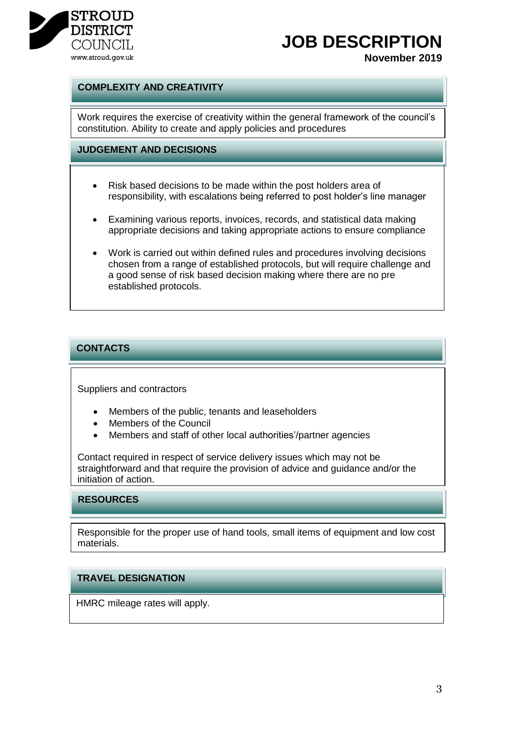

# **JOB DESCRIPTION**

**November 2019**

#### **COMPLEXITY AND CREATIVITY**

Work requires the exercise of creativity within the general framework of the council's constitution. Ability to create and apply policies and procedures

#### **JUDGEMENT AND DECISIONS**

- Risk based decisions to be made within the post holders area of responsibility, with escalations being referred to post holder's line manager
- Examining various reports, invoices, records, and statistical data making appropriate decisions and taking appropriate actions to ensure compliance
- Work is carried out within defined rules and procedures involving decisions chosen from a range of established protocols, but will require challenge and a good sense of risk based decision making where there are no pre established protocols.

#### **CONTACTS**

Suppliers and contractors

- Members of the public, tenants and leaseholders
- Members of the Council
- Members and staff of other local authorities'/partner agencies

Contact required in respect of service delivery issues which may not be straightforward and that require the provision of advice and guidance and/or the initiation of action.

#### **RESOURCES**

Responsible for the proper use of hand tools, small items of equipment and low cost materials.

#### **TRAVEL DESIGNATION**

HMRC mileage rates will apply.